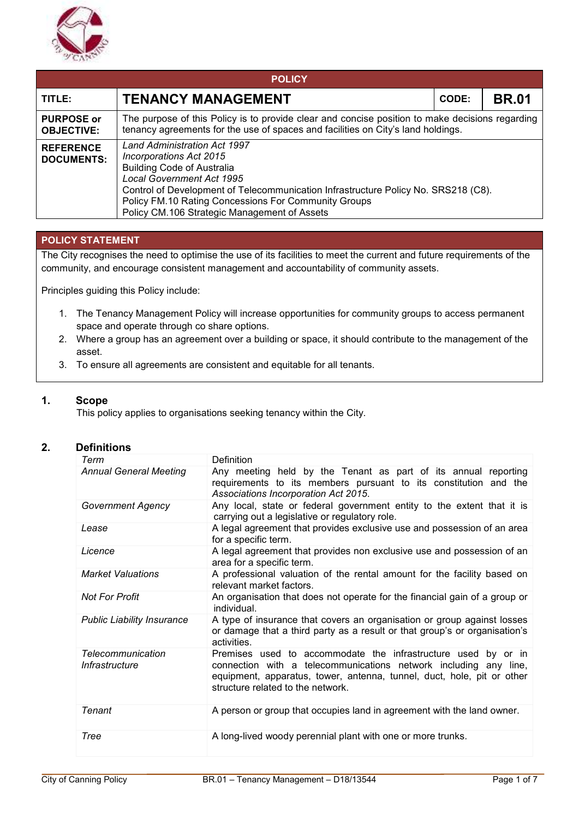

| <b>POLICY</b>                          |                                                                                                                                                                                                                                                                                                                                       |       |              |  |
|----------------------------------------|---------------------------------------------------------------------------------------------------------------------------------------------------------------------------------------------------------------------------------------------------------------------------------------------------------------------------------------|-------|--------------|--|
| TITLE:                                 | <b>TENANCY MANAGEMENT</b>                                                                                                                                                                                                                                                                                                             | CODE: | <b>BR.01</b> |  |
| <b>PURPOSE or</b><br><b>OBJECTIVE:</b> | The purpose of this Policy is to provide clear and concise position to make decisions regarding<br>tenancy agreements for the use of spaces and facilities on City's land holdings.                                                                                                                                                   |       |              |  |
| <b>REFERENCE</b><br><b>DOCUMENTS:</b>  | <b>Land Administration Act 1997</b><br>Incorporations Act 2015<br><b>Building Code of Australia</b><br><b>Local Government Act 1995</b><br>Control of Development of Telecommunication Infrastructure Policy No. SRS218 (C8).<br>Policy FM.10 Rating Concessions For Community Groups<br>Policy CM.106 Strategic Management of Assets |       |              |  |

# **POLICY STATEMENT**

The City recognises the need to optimise the use of its facilities to meet the current and future requirements of the community, and encourage consistent management and accountability of community assets.

Principles guiding this Policy include:

- 1. The Tenancy Management Policy will increase opportunities for community groups to access permanent space and operate through co share options.
- 2. Where a group has an agreement over a building or space, it should contribute to the management of the asset.
- 3. To ensure all agreements are consistent and equitable for all tenants.

# **1. Scope**

This policy applies to organisations seeking tenancy within the City.

# **2. Definitions**

| Term                                | Definition                                                                                                                                                                                                                                       |
|-------------------------------------|--------------------------------------------------------------------------------------------------------------------------------------------------------------------------------------------------------------------------------------------------|
| <b>Annual General Meeting</b>       | Any meeting held by the Tenant as part of its annual reporting<br>requirements to its members pursuant to its constitution and the<br>Associations Incorporation Act 2015.                                                                       |
| <b>Government Agency</b>            | Any local, state or federal government entity to the extent that it is<br>carrying out a legislative or regulatory role.                                                                                                                         |
| Lease                               | A legal agreement that provides exclusive use and possession of an area<br>for a specific term.                                                                                                                                                  |
| Licence                             | A legal agreement that provides non exclusive use and possession of an<br>area for a specific term.                                                                                                                                              |
| <b>Market Valuations</b>            | A professional valuation of the rental amount for the facility based on<br>relevant market factors.                                                                                                                                              |
| <b>Not For Profit</b>               | An organisation that does not operate for the financial gain of a group or<br>individual.                                                                                                                                                        |
| <b>Public Liability Insurance</b>   | A type of insurance that covers an organisation or group against losses<br>or damage that a third party as a result or that group's or organisation's<br>activities.                                                                             |
| Telecommunication<br>Infrastructure | Premises used to accommodate the infrastructure used by or in<br>connection with a telecommunications network including any line,<br>equipment, apparatus, tower, antenna, tunnel, duct, hole, pit or other<br>structure related to the network. |
| Tenant                              | A person or group that occupies land in agreement with the land owner.                                                                                                                                                                           |
| Tree                                | A long-lived woody perennial plant with one or more trunks.                                                                                                                                                                                      |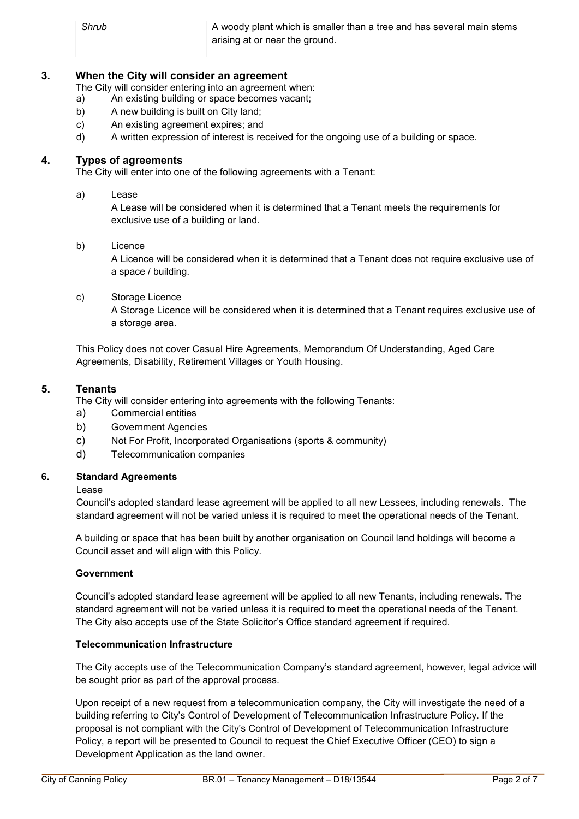**Shrub A** woody plant which is smaller than a tree and has several main stems arising at or near the ground.

# **3. When the City will consider an agreement**

The City will consider entering into an agreement when:

- a) An existing building or space becomes vacant;
- b) A new building is built on City land;
- c) An existing agreement expires; and
- d) A written expression of interest is received for the ongoing use of a building or space.

## **4. Types of agreements**

The City will enter into one of the following agreements with a Tenant:

a) Lease

A Lease will be considered when it is determined that a Tenant meets the requirements for exclusive use of a building or land.

#### b) Licence

A Licence will be considered when it is determined that a Tenant does not require exclusive use of a space / building.

c) Storage Licence

A Storage Licence will be considered when it is determined that a Tenant requires exclusive use of a storage area.

This Policy does not cover Casual Hire Agreements, Memorandum Of Understanding, Aged Care Agreements, Disability, Retirement Villages or Youth Housing.

## **5. Tenants**

The City will consider entering into agreements with the following Tenants:

- a) Commercial entities
- b) Government Agencies
- c) Not For Profit, Incorporated Organisations (sports & community)
- d) Telecommunication companies

#### **6. Standard Agreements**

Lease

Council's adopted standard lease agreement will be applied to all new Lessees, including renewals. The standard agreement will not be varied unless it is required to meet the operational needs of the Tenant.

A building or space that has been built by another organisation on Council land holdings will become a Council asset and will align with this Policy.

#### **Government**

Council's adopted standard lease agreement will be applied to all new Tenants, including renewals. The standard agreement will not be varied unless it is required to meet the operational needs of the Tenant. The City also accepts use of the State Solicitor's Office standard agreement if required.

#### **Telecommunication Infrastructure**

The City accepts use of the Telecommunication Company's standard agreement, however, legal advice will be sought prior as part of the approval process.

Upon receipt of a new request from a telecommunication company, the City will investigate the need of a building referring to City's Control of Development of Telecommunication Infrastructure Policy. If the proposal is not compliant with the City's Control of Development of Telecommunication Infrastructure Policy, a report will be presented to Council to request the Chief Executive Officer (CEO) to sign a Development Application as the land owner.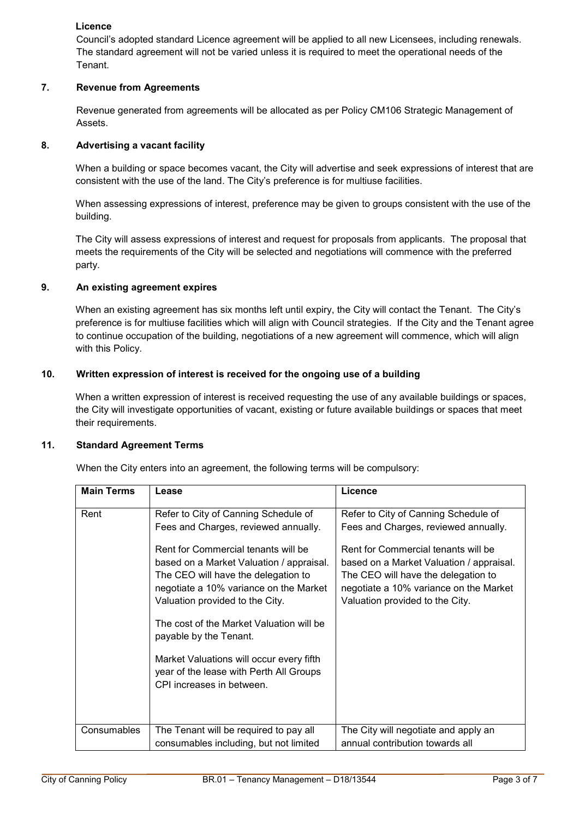# **Licence**

Council's adopted standard Licence agreement will be applied to all new Licensees, including renewals. The standard agreement will not be varied unless it is required to meet the operational needs of the Tenant.

## **7. Revenue from Agreements**

 Revenue generated from agreements will be allocated as per Policy CM106 Strategic Management of Assets.

## **8. Advertising a vacant facility**

When a building or space becomes vacant, the City will advertise and seek expressions of interest that are consistent with the use of the land. The City's preference is for multiuse facilities.

When assessing expressions of interest, preference may be given to groups consistent with the use of the building.

The City will assess expressions of interest and request for proposals from applicants. The proposal that meets the requirements of the City will be selected and negotiations will commence with the preferred party.

### **9. An existing agreement expires**

When an existing agreement has six months left until expiry, the City will contact the Tenant. The City's preference is for multiuse facilities which will align with Council strategies. If the City and the Tenant agree to continue occupation of the building, negotiations of a new agreement will commence, which will align with this Policy.

### **10. Written expression of interest is received for the ongoing use of a building**

When a written expression of interest is received requesting the use of any available buildings or spaces, the City will investigate opportunities of vacant, existing or future available buildings or spaces that meet their requirements.

#### **11. Standard Agreement Terms**

When the City enters into an agreement, the following terms will be compulsory:

| <b>Main Terms</b> | Lease                                                                                                                                                                                                                                                                                                                                                     | Licence                                                                                                                                                                                                                                                                             |
|-------------------|-----------------------------------------------------------------------------------------------------------------------------------------------------------------------------------------------------------------------------------------------------------------------------------------------------------------------------------------------------------|-------------------------------------------------------------------------------------------------------------------------------------------------------------------------------------------------------------------------------------------------------------------------------------|
| Rent              | Refer to City of Canning Schedule of<br>Fees and Charges, reviewed annually.<br>Rent for Commercial tenants will be<br>based on a Market Valuation / appraisal.<br>The CEO will have the delegation to<br>negotiate a 10% variance on the Market<br>Valuation provided to the City.<br>The cost of the Market Valuation will be<br>payable by the Tenant. | Refer to City of Canning Schedule of<br>Fees and Charges, reviewed annually.<br>Rent for Commercial tenants will be<br>based on a Market Valuation / appraisal.<br>The CEO will have the delegation to<br>negotiate a 10% variance on the Market<br>Valuation provided to the City. |
|                   | Market Valuations will occur every fifth<br>year of the lease with Perth All Groups<br>CPI increases in between.                                                                                                                                                                                                                                          |                                                                                                                                                                                                                                                                                     |
| Consumables       | The Tenant will be required to pay all<br>consumables including, but not limited                                                                                                                                                                                                                                                                          | The City will negotiate and apply an<br>annual contribution towards all                                                                                                                                                                                                             |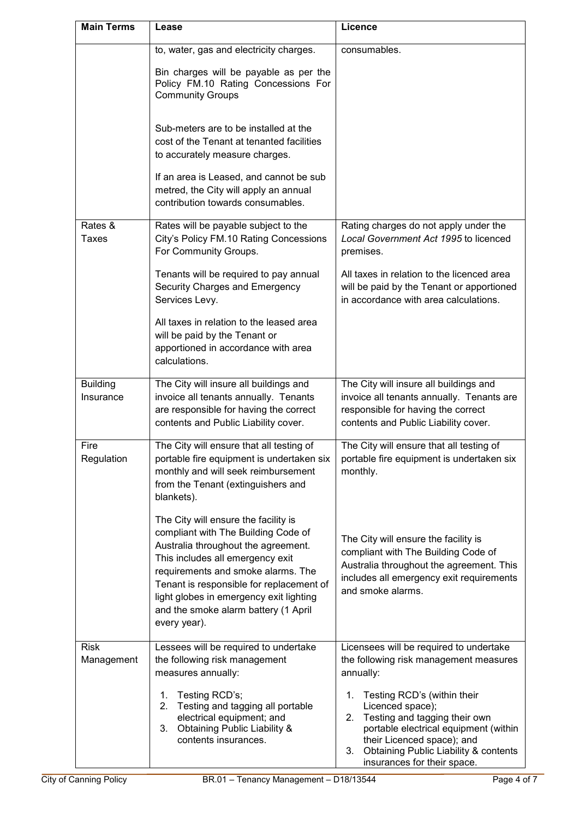| <b>Main Terms</b>            | Lease                                                                                                                                                                                                                                                                                                                                       | Licence                                                                                                                                                                                                                                           |
|------------------------------|---------------------------------------------------------------------------------------------------------------------------------------------------------------------------------------------------------------------------------------------------------------------------------------------------------------------------------------------|---------------------------------------------------------------------------------------------------------------------------------------------------------------------------------------------------------------------------------------------------|
|                              | to, water, gas and electricity charges.                                                                                                                                                                                                                                                                                                     | consumables.                                                                                                                                                                                                                                      |
|                              | Bin charges will be payable as per the<br>Policy FM.10 Rating Concessions For<br><b>Community Groups</b>                                                                                                                                                                                                                                    |                                                                                                                                                                                                                                                   |
|                              | Sub-meters are to be installed at the<br>cost of the Tenant at tenanted facilities<br>to accurately measure charges.<br>If an area is Leased, and cannot be sub<br>metred, the City will apply an annual<br>contribution towards consumables.                                                                                               |                                                                                                                                                                                                                                                   |
| Rates &<br><b>Taxes</b>      | Rates will be payable subject to the<br>City's Policy FM.10 Rating Concessions<br>For Community Groups.                                                                                                                                                                                                                                     | Rating charges do not apply under the<br>Local Government Act 1995 to licenced<br>premises.                                                                                                                                                       |
|                              | Tenants will be required to pay annual<br>Security Charges and Emergency<br>Services Levy.                                                                                                                                                                                                                                                  | All taxes in relation to the licenced area<br>will be paid by the Tenant or apportioned<br>in accordance with area calculations.                                                                                                                  |
|                              | All taxes in relation to the leased area<br>will be paid by the Tenant or<br>apportioned in accordance with area<br>calculations.                                                                                                                                                                                                           |                                                                                                                                                                                                                                                   |
| <b>Building</b><br>Insurance | The City will insure all buildings and<br>invoice all tenants annually. Tenants<br>are responsible for having the correct<br>contents and Public Liability cover.                                                                                                                                                                           | The City will insure all buildings and<br>invoice all tenants annually. Tenants are<br>responsible for having the correct<br>contents and Public Liability cover.                                                                                 |
| Fire<br>Regulation           | The City will ensure that all testing of<br>portable fire equipment is undertaken six<br>monthly and will seek reimbursement<br>from the Tenant (extinguishers and<br>blankets).                                                                                                                                                            | The City will ensure that all testing of<br>portable fire equipment is undertaken six<br>monthly.                                                                                                                                                 |
|                              | The City will ensure the facility is<br>compliant with The Building Code of<br>Australia throughout the agreement.<br>This includes all emergency exit<br>requirements and smoke alarms. The<br>Tenant is responsible for replacement of<br>light globes in emergency exit lighting<br>and the smoke alarm battery (1 April<br>every year). | The City will ensure the facility is<br>compliant with The Building Code of<br>Australia throughout the agreement. This<br>includes all emergency exit requirements<br>and smoke alarms.                                                          |
| <b>Risk</b><br>Management    | Lessees will be required to undertake<br>the following risk management<br>measures annually:                                                                                                                                                                                                                                                | Licensees will be required to undertake<br>the following risk management measures<br>annually:                                                                                                                                                    |
|                              | Testing RCD's;<br>1.<br>Testing and tagging all portable<br>2.<br>electrical equipment; and<br>Obtaining Public Liability &<br>3.<br>contents insurances.                                                                                                                                                                                   | 1.<br>Testing RCD's (within their<br>Licenced space);<br>Testing and tagging their own<br>2.<br>portable electrical equipment (within<br>their Licenced space); and<br>3.<br>Obtaining Public Liability & contents<br>insurances for their space. |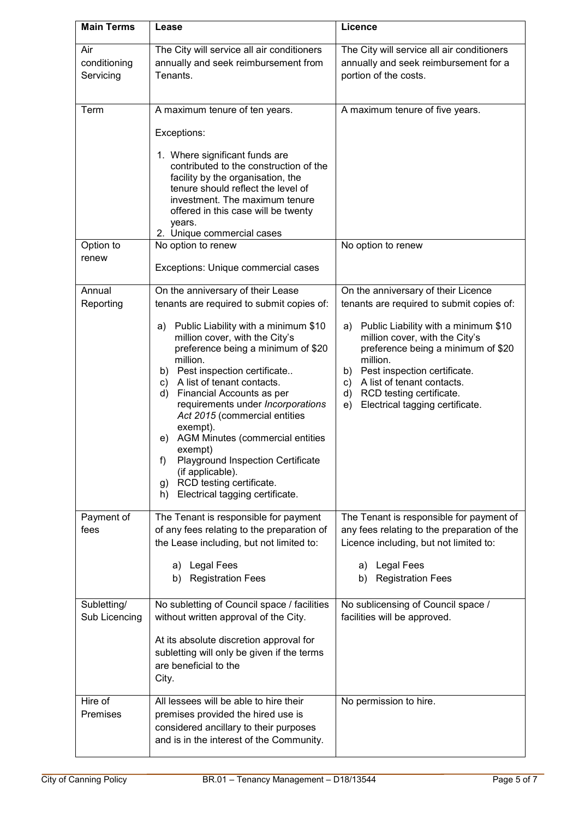| <b>Main Terms</b>            | Lease                                                                                                                                                                                                                                                                                                                                                                                                                                                                                                                 | Licence                                                                                                                                                                                                                                                                          |
|------------------------------|-----------------------------------------------------------------------------------------------------------------------------------------------------------------------------------------------------------------------------------------------------------------------------------------------------------------------------------------------------------------------------------------------------------------------------------------------------------------------------------------------------------------------|----------------------------------------------------------------------------------------------------------------------------------------------------------------------------------------------------------------------------------------------------------------------------------|
| Air                          | The City will service all air conditioners                                                                                                                                                                                                                                                                                                                                                                                                                                                                            | The City will service all air conditioners                                                                                                                                                                                                                                       |
| conditioning                 | annually and seek reimbursement from<br>Tenants.                                                                                                                                                                                                                                                                                                                                                                                                                                                                      | annually and seek reimbursement for a                                                                                                                                                                                                                                            |
| Servicing                    |                                                                                                                                                                                                                                                                                                                                                                                                                                                                                                                       | portion of the costs.                                                                                                                                                                                                                                                            |
| Term                         | A maximum tenure of ten years.                                                                                                                                                                                                                                                                                                                                                                                                                                                                                        | A maximum tenure of five years.                                                                                                                                                                                                                                                  |
|                              | Exceptions:                                                                                                                                                                                                                                                                                                                                                                                                                                                                                                           |                                                                                                                                                                                                                                                                                  |
|                              | 1. Where significant funds are<br>contributed to the construction of the<br>facility by the organisation, the<br>tenure should reflect the level of<br>investment. The maximum tenure<br>offered in this case will be twenty<br>years.<br>2. Unique commercial cases                                                                                                                                                                                                                                                  |                                                                                                                                                                                                                                                                                  |
| Option to                    | No option to renew                                                                                                                                                                                                                                                                                                                                                                                                                                                                                                    | No option to renew                                                                                                                                                                                                                                                               |
| renew                        | Exceptions: Unique commercial cases                                                                                                                                                                                                                                                                                                                                                                                                                                                                                   |                                                                                                                                                                                                                                                                                  |
| Annual                       | On the anniversary of their Lease                                                                                                                                                                                                                                                                                                                                                                                                                                                                                     | On the anniversary of their Licence                                                                                                                                                                                                                                              |
| Reporting                    | tenants are required to submit copies of:                                                                                                                                                                                                                                                                                                                                                                                                                                                                             | tenants are required to submit copies of:                                                                                                                                                                                                                                        |
|                              | Public Liability with a minimum \$10<br>a)<br>million cover, with the City's<br>preference being a minimum of \$20<br>million.<br>b) Pest inspection certificate<br>c) A list of tenant contacts.<br>Financial Accounts as per<br>d)<br>requirements under Incorporations<br>Act 2015 (commercial entities<br>exempt).<br>AGM Minutes (commercial entities<br>e)<br>exempt)<br>Playground Inspection Certificate<br>f)<br>(if applicable).<br>RCD testing certificate.<br>g)<br>Electrical tagging certificate.<br>h) | Public Liability with a minimum \$10<br>a)<br>million cover, with the City's<br>preference being a minimum of \$20<br>million.<br>Pest inspection certificate.<br>b)<br>c) A list of tenant contacts.<br>RCD testing certificate.<br>d)<br>Electrical tagging certificate.<br>e) |
| Payment of<br>fees           | The Tenant is responsible for payment<br>of any fees relating to the preparation of<br>the Lease including, but not limited to:                                                                                                                                                                                                                                                                                                                                                                                       | The Tenant is responsible for payment of<br>any fees relating to the preparation of the<br>Licence including, but not limited to:                                                                                                                                                |
|                              | <b>Legal Fees</b><br>a)<br><b>Registration Fees</b><br>b)                                                                                                                                                                                                                                                                                                                                                                                                                                                             | Legal Fees<br>a)<br>b)<br><b>Registration Fees</b>                                                                                                                                                                                                                               |
| Subletting/<br>Sub Licencing | No subletting of Council space / facilities<br>without written approval of the City.                                                                                                                                                                                                                                                                                                                                                                                                                                  | No sublicensing of Council space /<br>facilities will be approved.                                                                                                                                                                                                               |
|                              | At its absolute discretion approval for<br>subletting will only be given if the terms<br>are beneficial to the<br>City.                                                                                                                                                                                                                                                                                                                                                                                               |                                                                                                                                                                                                                                                                                  |
| Hire of<br>Premises          | All lessees will be able to hire their<br>premises provided the hired use is<br>considered ancillary to their purposes<br>and is in the interest of the Community.                                                                                                                                                                                                                                                                                                                                                    | No permission to hire.                                                                                                                                                                                                                                                           |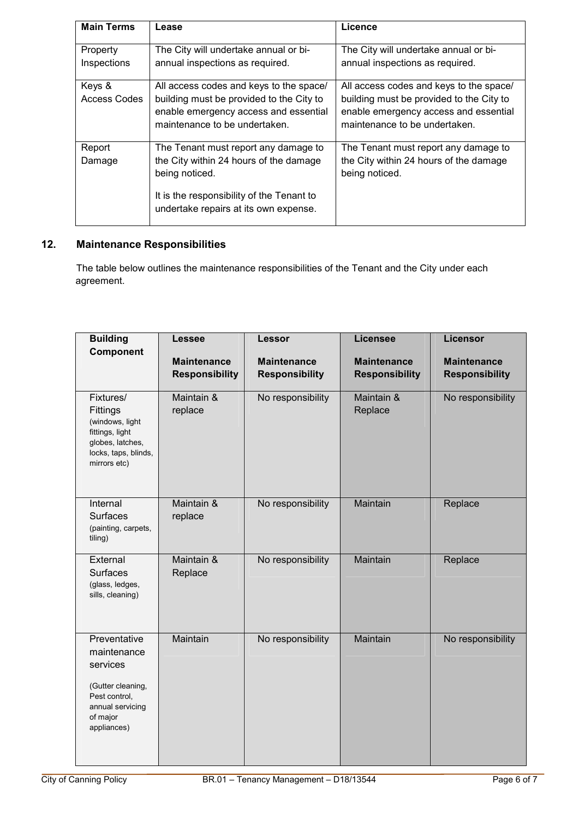| <b>Main Terms</b>             | Lease                                                                                                                                                                                  | Licence                                                                                                                                                       |
|-------------------------------|----------------------------------------------------------------------------------------------------------------------------------------------------------------------------------------|---------------------------------------------------------------------------------------------------------------------------------------------------------------|
| Property<br>Inspections       | The City will undertake annual or bi-<br>annual inspections as required.                                                                                                               | The City will undertake annual or bi-<br>annual inspections as required.                                                                                      |
| Keys &<br><b>Access Codes</b> | All access codes and keys to the space/<br>building must be provided to the City to<br>enable emergency access and essential<br>maintenance to be undertaken.                          | All access codes and keys to the space/<br>building must be provided to the City to<br>enable emergency access and essential<br>maintenance to be undertaken. |
| Report<br>Damage              | The Tenant must report any damage to<br>the City within 24 hours of the damage<br>being noticed.<br>It is the responsibility of the Tenant to<br>undertake repairs at its own expense. | The Tenant must report any damage to<br>the City within 24 hours of the damage<br>being noticed.                                                              |

# **12. Maintenance Responsibilities**

The table below outlines the maintenance responsibilities of the Tenant and the City under each agreement.

| <b>Building</b>                                                                                                              | <b>Lessee</b>                               | <b>Lessor</b>                               | <b>Licensee</b>                             | <b>Licensor</b>                             |
|------------------------------------------------------------------------------------------------------------------------------|---------------------------------------------|---------------------------------------------|---------------------------------------------|---------------------------------------------|
| Component                                                                                                                    | <b>Maintenance</b><br><b>Responsibility</b> | <b>Maintenance</b><br><b>Responsibility</b> | <b>Maintenance</b><br><b>Responsibility</b> | <b>Maintenance</b><br><b>Responsibility</b> |
| Fixtures/<br>Fittings<br>(windows, light<br>fittings, light<br>globes, latches,<br>locks, taps, blinds,<br>mirrors etc)      | Maintain &<br>replace                       | No responsibility                           | Maintain &<br>Replace                       | No responsibility                           |
| Internal<br><b>Surfaces</b><br>(painting, carpets,<br>tiling)                                                                | Maintain &<br>replace                       | No responsibility                           | Maintain                                    | Replace                                     |
| External<br><b>Surfaces</b><br>(glass, ledges,<br>sills, cleaning)                                                           | Maintain &<br>Replace                       | No responsibility                           | Maintain                                    | Replace                                     |
| Preventative<br>maintenance<br>services<br>(Gutter cleaning,<br>Pest control,<br>annual servicing<br>of major<br>appliances) | Maintain                                    | No responsibility                           | Maintain                                    | No responsibility                           |